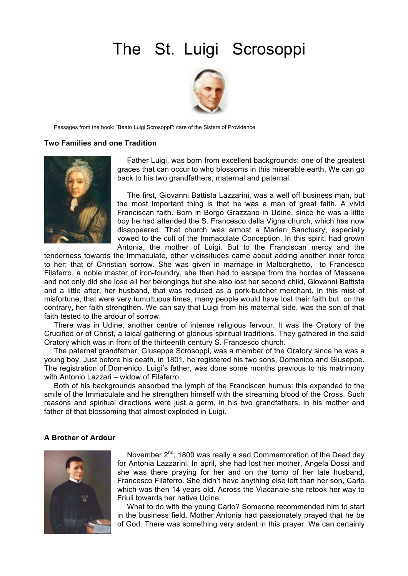# The St. Luigi Scrosoppi



Passages from the book: "Beato Luigi Scrosoppi": care of the Sisters of Providence

#### **Two Families and one Tradition**



Father Luigi, was born from excellent backgrounds: one of the greatest graces that can occur to who blossoms in this miserable earth. We can go back to his two grandfathers, maternal and paternal.

The first, Giovanni Battista Lazzarini, was a well off business man, but the most important thing is that he was a man of great faith. A vivid Franciscan faith. Born in Borgo Grazzano in Udine, since he was a little boy he had attended the S. Francesco della Vigna church, which has now disappeared. That church was almost a Marian Sanctuary, especially vowed to the cult of the Immaculate Conception. In this spirit, had grown Antonia, the mother of Luigi. But to the Franciscan mercy and the

tenderness towards the Immaculate, other vicissitudes came about adding another inner force to her: that of Christian sorrow. She was given in marriage in Malborghetto, to Francesco Filaferro, a noble master of iron-foundry, she then had to escape from the hordes of Massena and not only did she lose all her belongings but she also lost her second child, Giovanni Battista and a little after, her husband, that was reduced as a pork-butcher merchant. In this mist of misfortune, that were very tumultuous times, many people would have lost their faith but on the contrary, her faith strengthen. We can say that Luigi from his maternal side, was the son of that faith tested to the ardour of sorrow.

There was in Udine, another centre of intense religious fervour. It was the Oratory of the Crucified or of Christ, a laical gathering of glorious spiritual traditions. They gathered in the said Oratory which was in front of the thirteenth century S. Francesco church.

The paternal grandfather, Giuseppe Scrosoppi, was a member of the Oratory since he was a young boy. Just before his death, in 1801, he registered his two sons, Domenico and Giuseppe. The registration of Domenico, Luigi's father, was done some months previous to his matrimony with Antonio Lazzari – widow of Filaferro.

Both of his backgrounds absorbed the lymph of the Franciscan humus: this expanded to the smile of the Immaculate and he strengthen himself with the streaming blood of the Cross. Such reasons and spiritual directions were just a germ, in his two grandfathers, in his mother and father of that blossoming that almost exploded in Luigi.

# **A Brother of Ardour**



November 2<sup>nd</sup>, 1800 was really a sad Commemoration of the Dead day for Antonia Lazzarini. In april, she had lost her mother, Angela Dossi and she was there praying for her and on the tomb of her late husband, Francesco Filaferro. She didn't have anything else left than her son, Carlo which was then 14 years old. Across the Viacanale she retook her way to Friuli towards her native Udine.

What to do with the young Carlo? Someone recommended him to start in the business field. Mother Antonia had passionately prayed that he be of God. There was something very ardent in this prayer. We can certainly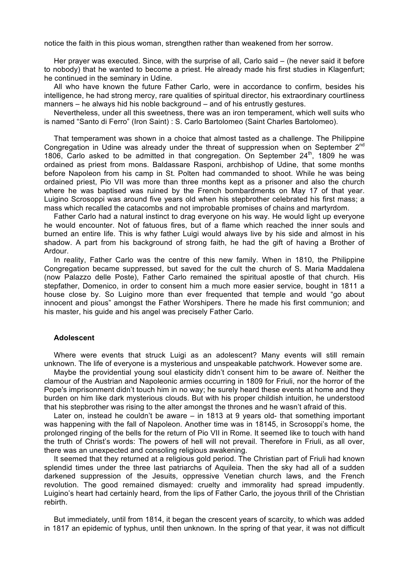notice the faith in this pious woman, strengthen rather than weakened from her sorrow.

Her prayer was executed. Since, with the surprise of all, Carlo said – (he never said it before to nobody) that he wanted to become a priest. He already made his first studies in Klagenfurt; he continued in the seminary in Udine.

All who have known the future Father Carlo, were in accordance to confirm, besides his intelligence, he had strong mercy, rare qualities of spiritual director, his extraordinary courtliness manners – he always hid his noble background – and of his entrustly gestures.

Nevertheless, under all this sweetness, there was an iron temperament, which well suits who is named "Santo di Ferro" (Iron Saint) : S. Carlo Bartolomeo (Saint Charles Bartolomeo).

That temperament was shown in a choice that almost tasted as a challenge. The Philippine Congregation in Udine was already under the threat of suppression when on September  $2^{nd}$ 1806, Carlo asked to be admitted in that congregation. On September 24<sup>th</sup>, 1809 he was ordained as priest from mons. Baldassare Rasponi, archbishop of Udine, that some months before Napoleon from his camp in St. Polten had commanded to shoot. While he was being ordained priest, Pio VII was more than three months kept as a prisoner and also the church where he was baptised was ruined by the French bombardments on May 17 of that year. Luigino Scrosoppi was around five years old when his stepbrother celebrated his first mass; a mass which recalled the catacombs and not improbable promises of chains and martyrdom.

Father Carlo had a natural instinct to drag everyone on his way. He would light up everyone he would encounter. Not of fatuous fires, but of a flame which reached the inner souls and burned an entire life. This is why father Luigi would always live by his side and almost in his shadow. A part from his background of strong faith, he had the gift of having a Brother of Ardour.

In reality, Father Carlo was the centre of this new family. When in 1810, the Philippine Congregation became suppressed, but saved for the cult the church of S. Maria Maddalena (now Palazzo delle Poste), Father Carlo remained the spiritual apostle of that church. His stepfather, Domenico, in order to consent him a much more easier service, bought in 1811 a house close by. So Luigino more than ever frequented that temple and would "go about innocent and pious" amongst the Father Worshipers. There he made his first communion; and his master, his guide and his angel was precisely Father Carlo.

## **Adolescent**

Where were events that struck Luigi as an adolescent? Many events will still remain unknown. The life of everyone is a mysterious and unspeakable patchwork. However some are.

Maybe the providential young soul elasticity didn't consent him to be aware of. Neither the clamour of the Austrian and Napoleonic armies occurring in 1809 for Friuli, nor the horror of the Pope's imprisonment didn't touch him in no way; he surely heard these events at home and they burden on him like dark mysterious clouds. But with his proper childish intuition, he understood that his stepbrother was rising to the alter amongst the thrones and he wasn't afraid of this.

Later on, instead he couldn't be aware – in 1813 at 9 years old- that something important was happening with the fall of Napoleon. Another time was in 18145, in Scrosoppi's home, the prolonged ringing of the bells for the return of Pio VII in Rome. It seemed like to touch with hand the truth of Christ's words: The powers of hell will not prevail. Therefore in Friuli, as all over, there was an unexpected and consoling religious awakening.

It seemed that they returned at a religious gold period. The Christian part of Friuli had known splendid times under the three last patriarchs of Aquileia. Then the sky had all of a sudden darkened suppression of the Jesuits, oppressive Venetian church laws, and the French revolution. The good remained dismayed: cruelty and immorality had spread impudently. Luigino's heart had certainly heard, from the lips of Father Carlo, the joyous thrill of the Christian rebirth.

But immediately, until from 1814, it began the crescent years of scarcity, to which was added in 1817 an epidemic of typhus, until then unknown. In the spring of that year, it was not difficult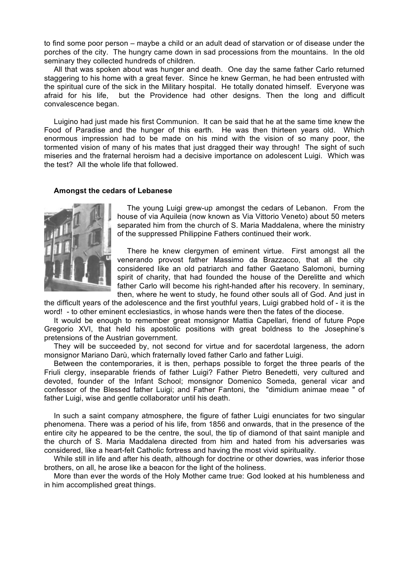to find some poor person – maybe a child or an adult dead of starvation or of disease under the porches of the city. The hungry came down in sad processions from the mountains. In the old seminary they collected hundreds of children.

All that was spoken about was hunger and death. One day the same father Carlo returned staggering to his home with a great fever. Since he knew German, he had been entrusted with the spiritual cure of the sick in the Military hospital. He totally donated himself. Everyone was afraid for his life, but the Providence had other designs. Then the long and difficult convalescence began.

Luigino had just made his first Communion. It can be said that he at the same time knew the Food of Paradise and the hunger of this earth. He was then thirteen years old. Which enormous impression had to be made on his mind with the vision of so many poor, the tormented vision of many of his mates that just dragged their way through! The sight of such miseries and the fraternal heroism had a decisive importance on adolescent Luigi. Which was the test? All the whole life that followed.

# **Amongst the cedars of Lebanese**



The young Luigi grew-up amongst the cedars of Lebanon. From the house of via Aquileia (now known as Via Vittorio Veneto) about 50 meters separated him from the church of S. Maria Maddalena, where the ministry of the suppressed Philippine Fathers continued their work.

There he knew clergymen of eminent virtue. First amongst all the venerando provost father Massimo da Brazzacco, that all the city considered like an old patriarch and father Gaetano Salomoni, burning spirit of charity, that had founded the house of the Derelitte and which father Carlo will become his right-handed after his recovery. In seminary, then, where he went to study, he found other souls all of God. And just in

the difficult years of the adolescence and the first youthful years, Luigi grabbed hold of - it is the word! - to other eminent ecclesiastics, in whose hands were then the fates of the diocese.

It would be enough to remember great monsignor Mattia Capellari, friend of future Pope Gregorio XVI, that held his apostolic positions with great boldness to the Josephine's pretensions of the Austrian government.

They will be succeeded by, not second for virtue and for sacerdotal largeness, the adorn monsignor Mariano Darù, which fraternally loved father Carlo and father Luigi.

Between the contemporaries, it is then, perhaps possible to forget the three pearls of the Friuli clergy, inseparable friends of father Luigi? Father Pietro Benedetti, very cultured and devoted, founder of the Infant School; monsignor Domenico Someda, general vicar and confessor of the Blessed father Luigi; and Father Fantoni, the "dimidium animae meae " of father Luigi, wise and gentle collaborator until his death.

In such a saint company atmosphere, the figure of father Luigi enunciates for two singular phenomena. There was a period of his life, from 1856 and onwards, that in the presence of the entire city he appeared to be the centre, the soul, the tip of diamond of that saint maniple and the church of S. Maria Maddalena directed from him and hated from his adversaries was considered, like a heart-felt Catholic fortress and having the most vivid spirituality.

While still in life and after his death, although for doctrine or other dowries, was inferior those brothers, on all, he arose like a beacon for the light of the holiness.

More than ever the words of the Holy Mother came true: God looked at his humbleness and in him accomplished great things.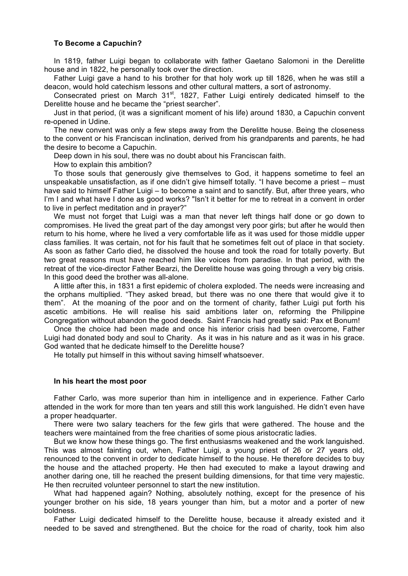## **To Become a Capuchin?**

In 1819, father Luigi began to collaborate with father Gaetano Salomoni in the Derelitte house and in 1822, he personally took over the direction.

Father Luigi gave a hand to his brother for that holy work up till 1826, when he was still a deacon, would hold catechism lessons and other cultural matters, a sort of astronomy.

Consecrated priest on March 31<sup>st</sup>, 1827, Father Luigi entirely dedicated himself to the Derelitte house and he became the "priest searcher".

Just in that period, (it was a significant moment of his life) around 1830, a Capuchin convent re-opened in Udine.

The new convent was only a few steps away from the Derelitte house. Being the closeness to the convent or his Franciscan inclination, derived from his grandparents and parents, he had the desire to become a Capuchin.

Deep down in his soul, there was no doubt about his Franciscan faith.

How to explain this ambition?

To those souls that generously give themselves to God, it happens sometime to feel an unspeakable unsatisfaction, as if one didn't give himself totally. "I have become a priest – must have said to himself Father Luigi – to become a saint and to sanctify. But, after three years, who I'm I and what have I done as good works? "Isn't it better for me to retreat in a convent in order to live in perfect meditation and in prayer?"

We must not forget that Luigi was a man that never left things half done or go down to compromises. He lived the great part of the day amongst very poor girls; but after he would then return to his home, where he lived a very comfortable life as it was used for those middle upper class families. It was certain, not for his fault that he sometimes felt out of place in that society. As soon as father Carlo died, he dissolved the house and took the road for totally poverty. But two great reasons must have reached him like voices from paradise. In that period, with the retreat of the vice-director Father Bearzi, the Derelitte house was going through a very big crisis. In this good deed the brother was all-alone.

A little after this, in 1831 a first epidemic of cholera exploded. The needs were increasing and the orphans multiplied. "They asked bread, but there was no one there that would give it to them". At the moaning of the poor and on the torment of charity, father Luigi put forth his ascetic ambitions. He will realise his said ambitions later on, reforming the Philippine Congregation without abandon the good deeds. Saint Francis had greatly said: Pax et Bonum!

Once the choice had been made and once his interior crisis had been overcome, Father Luigi had donated body and soul to Charity. As it was in his nature and as it was in his grace. God wanted that he dedicate himself to the Derelitte house?

He totally put himself in this without saving himself whatsoever.

## **In his heart the most poor**

Father Carlo, was more superior than him in intelligence and in experience. Father Carlo attended in the work for more than ten years and still this work languished. He didn't even have a proper headquarter.

There were two salary teachers for the few girls that were gathered. The house and the teachers were maintained from the free charities of some pious aristocratic ladies.

But we know how these things go. The first enthusiasms weakened and the work languished. This was almost fainting out, when, Father Luigi, a young priest of 26 or 27 years old, renounced to the convent in order to dedicate himself to the house. He therefore decides to buy the house and the attached property. He then had executed to make a layout drawing and another daring one, till he reached the present building dimensions, for that time very majestic. He then recruited volunteer personnel to start the new institution.

What had happened again? Nothing, absolutely nothing, except for the presence of his younger brother on his side, 18 years younger than him, but a motor and a porter of new boldness.

Father Luigi dedicated himself to the Derelitte house, because it already existed and it needed to be saved and strengthened. But the choice for the road of charity, took him also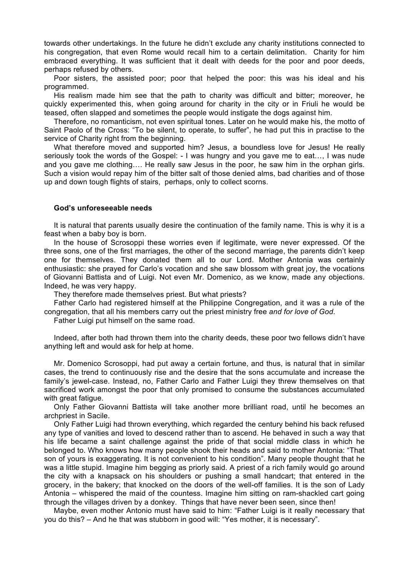towards other undertakings. In the future he didn't exclude any charity institutions connected to his congregation, that even Rome would recall him to a certain delimitation. Charity for him embraced everything. It was sufficient that it dealt with deeds for the poor and poor deeds, perhaps refused by others.

Poor sisters, the assisted poor; poor that helped the poor: this was his ideal and his programmed.

His realism made him see that the path to charity was difficult and bitter; moreover, he quickly experimented this, when going around for charity in the city or in Friuli he would be teased, often slapped and sometimes the people would instigate the dogs against him.

Therefore, no romanticism, not even spiritual tones. Later on he would make his, the motto of Saint Paolo of the Cross: "To be silent, to operate, to suffer", he had put this in practise to the service of Charity right from the beginning.

What therefore moved and supported him? Jesus, a boundless love for Jesus! He really seriously took the words of the Gospel: - I was hungry and you gave me to eat…, I was nude and you gave me clothing…. He really saw Jesus in the poor, he saw him in the orphan girls. Such a vision would repay him of the bitter salt of those denied alms, bad charities and of those up and down tough flights of stairs, perhaps, only to collect scorns.

## **God's unforeseeable needs**

It is natural that parents usually desire the continuation of the family name. This is why it is a feast when a baby boy is born.

In the house of Scrosoppi these worries even if legitimate, were never expressed. Of the three sons, one of the first marriages, the other of the second marriage, the parents didn't keep one for themselves. They donated them all to our Lord. Mother Antonia was certainly enthusiastic: she prayed for Carlo's vocation and she saw blossom with great joy, the vocations of Giovanni Battista and of Luigi. Not even Mr. Domenico, as we know, made any objections. Indeed, he was very happy.

They therefore made themselves priest. But what priests?

Father Carlo had registered himself at the Philippine Congregation, and it was a rule of the congregation, that all his members carry out the priest ministry free *and for love of God*.

Father Luigi put himself on the same road.

Indeed, after both had thrown them into the charity deeds, these poor two fellows didn't have anything left and would ask for help at home.

Mr. Domenico Scrosoppi, had put away a certain fortune, and thus, is natural that in similar cases, the trend to continuously rise and the desire that the sons accumulate and increase the family's jewel-case. Instead, no, Father Carlo and Father Luigi they threw themselves on that sacrificed work amongst the poor that only promised to consume the substances accumulated with great fatigue.

Only Father Giovanni Battista will take another more brilliant road, until he becomes an archpriest in Sacile.

Only Father Luigi had thrown everything, which regarded the century behind his back refused any type of vanities and loved to descend rather than to ascend. He behaved in such a way that his life became a saint challenge against the pride of that social middle class in which he belonged to. Who knows how many people shook their heads and said to mother Antonia: "That son of yours is exaggerating. It is not convenient to his condition". Many people thought that he was a little stupid. Imagine him begging as priorly said. A priest of a rich family would go around the city with a knapsack on his shoulders or pushing a small handcart; that entered in the grocery, in the bakery; that knocked on the doors of the well-off families. It is the son of Lady Antonia – whispered the maid of the countess. Imagine him sitting on ram-shackled cart going through the villages driven by a donkey. Things that have never been seen, since then!

Maybe, even mother Antonio must have said to him: "Father Luigi is it really necessary that you do this? – And he that was stubborn in good will: "Yes mother, it is necessary".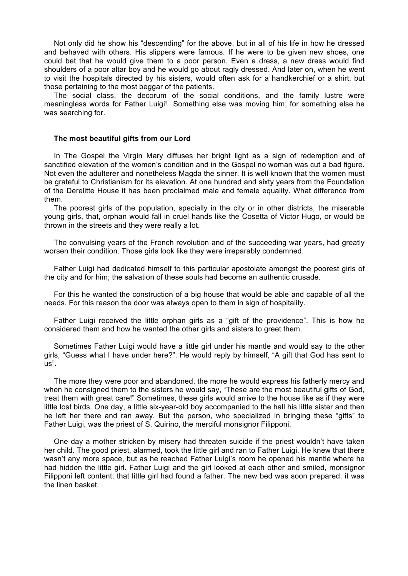Not only did he show his "descending" for the above, but in all of his life in how he dressed and behaved with others. His slippers were famous. If he were to be given new shoes, one could bet that he would give them to a poor person. Even a dress, a new dress would find shoulders of a poor altar boy and he would go about ragly dressed. And later on, when he went to visit the hospitals directed by his sisters, would often ask for a handkerchief or a shirt, but those pertaining to the most beggar of the patients.

The social class, the decorum of the social conditions, and the family lustre were meaningless words for Father Luigi! Something else was moving him; for something else he was searching for.

# **The most beautiful gifts from our Lord**

In The Gospel the Virgin Mary diffuses her bright light as a sign of redemption and of sanctified elevation of the women's condition and in the Gospel no woman was cut a bad figure. Not even the adulterer and nonetheless Magda the sinner. It is well known that the women must be grateful to Christianism for its elevation. At one hundred and sixty years from the Foundation of the Derelitte House it has been proclaimed male and female equality. What difference from them.

The poorest girls of the population, specially in the city or in other districts, the miserable young girls, that, orphan would fall in cruel hands like the Cosetta of Victor Hugo, or would be thrown in the streets and they were really a lot.

The convulsing years of the French revolution and of the succeeding war years, had greatly worsen their condition. Those girls look like they were irreparably condemned.

Father Luigi had dedicated himself to this particular apostolate amongst the poorest girls of the city and for him; the salvation of these souls had become an authentic crusade.

For this he wanted the construction of a big house that would be able and capable of all the needs. For this reason the door was always open to them in sign of hospitality.

Father Luigi received the little orphan girls as a "gift of the providence". This is how he considered them and how he wanted the other girls and sisters to greet them.

Sometimes Father Luigi would have a little girl under his mantle and would say to the other girls, "Guess what I have under here?". He would reply by himself, "A gift that God has sent to us".

The more they were poor and abandoned, the more he would express his fatherly mercy and when he consigned them to the sisters he would say, "These are the most beautiful gifts of God, treat them with great care!" Sometimes, these girls would arrive to the house like as if they were little lost birds. One day, a little six-year-old boy accompanied to the hall his little sister and then he left her there and ran away. But the person, who specialized in bringing these "gifts" to Father Luigi, was the priest of S. Quirino, the merciful monsignor Filipponi.

One day a mother stricken by misery had threaten suicide if the priest wouldn't have taken her child. The good priest, alarmed, took the little girl and ran to Father Luigi. He knew that there wasn't any more space, but as he reached Father Luigi's room he opened his mantle where he had hidden the little girl. Father Luigi and the girl looked at each other and smiled, monsignor Filipponi left content, that little girl had found a father. The new bed was soon prepared: it was the linen basket.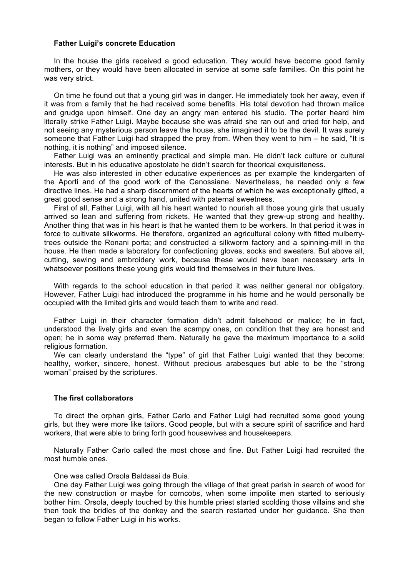## **Father Luigi's concrete Education**

In the house the girls received a good education. They would have become good family mothers, or they would have been allocated in service at some safe families. On this point he was very strict.

On time he found out that a young girl was in danger. He immediately took her away, even if it was from a family that he had received some benefits. His total devotion had thrown malice and grudge upon himself. One day an angry man entered his studio. The porter heard him literally strike Father Luigi. Maybe because she was afraid she ran out and cried for help, and not seeing any mysterious person leave the house, she imagined it to be the devil. It was surely someone that Father Luigi had strapped the prey from. When they went to him – he said, "It is nothing, it is nothing" and imposed silence.

Father Luigi was an eminently practical and simple man. He didn't lack culture or cultural interests. But in his educative apostolate he didn't search for theorical exquisiteness.

He was also interested in other educative experiences as per example the kindergarten of the Aporti and of the good work of the Canossiane. Nevertheless, he needed only a few directive lines. He had a sharp discernment of the hearts of which he was exceptionally gifted, a great good sense and a strong hand, united with paternal sweetness.

First of all, Father Luigi, with all his heart wanted to nourish all those young girls that usually arrived so lean and suffering from rickets. He wanted that they grew-up strong and healthy. Another thing that was in his heart is that he wanted them to be workers. In that period it was in force to cultivate silkworms. He therefore, organized an agricultural colony with fitted mulberrytrees outside the Ronani porta; and constructed a silkworm factory and a spinning-mill in the house. He then made a laboratory for confectioning gloves, socks and sweaters. But above all, cutting, sewing and embroidery work, because these would have been necessary arts in whatsoever positions these young girls would find themselves in their future lives.

With regards to the school education in that period it was neither general nor obligatory. However, Father Luigi had introduced the programme in his home and he would personally be occupied with the limited girls and would teach them to write and read.

Father Luigi in their character formation didn't admit falsehood or malice; he in fact, understood the lively girls and even the scampy ones, on condition that they are honest and open; he in some way preferred them. Naturally he gave the maximum importance to a solid religious formation.

We can clearly understand the "type" of girl that Father Luigi wanted that they become: healthy, worker, sincere, honest. Without precious arabesques but able to be the "strong woman" praised by the scriptures.

## **The first collaborators**

To direct the orphan girls, Father Carlo and Father Luigi had recruited some good young girls, but they were more like tailors. Good people, but with a secure spirit of sacrifice and hard workers, that were able to bring forth good housewives and housekeepers.

Naturally Father Carlo called the most chose and fine. But Father Luigi had recruited the most humble ones.

One was called Orsola Baldassi da Buia.

One day Father Luigi was going through the village of that great parish in search of wood for the new construction or maybe for corncobs, when some impolite men started to seriously bother him. Orsola, deeply touched by this humble priest started scolding those villains and she then took the bridles of the donkey and the search restarted under her guidance. She then began to follow Father Luigi in his works.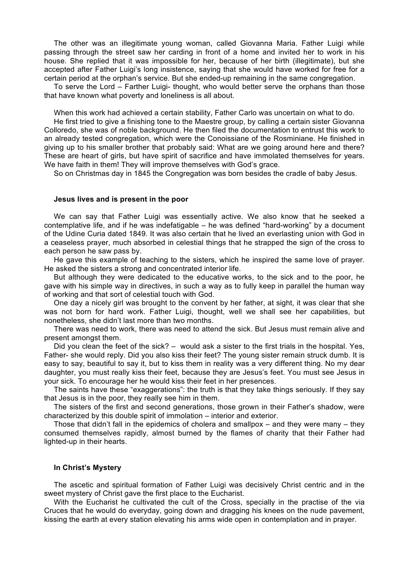The other was an illegitimate young woman, called Giovanna Maria. Father Luigi while passing through the street saw her carding in front of a home and invited her to work in his house. She replied that it was impossible for her, because of her birth (illegitimate), but she accepted after Father Luigi's long insistence, saying that she would have worked for free for a certain period at the orphan's service. But she ended-up remaining in the same congregation.

To serve the Lord – Farther Luigi- thought, who would better serve the orphans than those that have known what poverty and loneliness is all about.

When this work had achieved a certain stability, Father Carlo was uncertain on what to do.

He first tried to give a finishing tone to the Maestre group, by calling a certain sister Giovanna Colloredo, she was of noble background. He then filed the documentation to entrust this work to an already tested congregation, which were the Conoissiane of the Rosminiane. He finished in giving up to his smaller brother that probably said: What are we going around here and there? These are heart of girls, but have spirit of sacrifice and have immolated themselves for years. We have faith in them! They will improve themselves with God's grace.

So on Christmas day in 1845 the Congregation was born besides the cradle of baby Jesus.

# **Jesus lives and is present in the poor**

We can say that Father Luigi was essentially active. We also know that he seeked a contemplative life, and if he was indefatigable – he was defined "hard-working" by a document of the Udine Curia dated 1849. It was also certain that he lived an everlasting union with God in a ceaseless prayer, much absorbed in celestial things that he strapped the sign of the cross to each person he saw pass by.

He gave this example of teaching to the sisters, which he inspired the same love of prayer. He asked the sisters a strong and concentrated interior life.

But although they were dedicated to the educative works, to the sick and to the poor, he gave with his simple way in directives, in such a way as to fully keep in parallel the human way of working and that sort of celestial touch with God.

One day a nicely girl was brought to the convent by her father, at sight, it was clear that she was not born for hard work. Father Luigi, thought, well we shall see her capabilities, but nonetheless, she didn't last more than two months.

There was need to work, there was need to attend the sick. But Jesus must remain alive and present amongst them.

Did you clean the feet of the sick? – would ask a sister to the first trials in the hospital. Yes, Father- she would reply. Did you also kiss their feet? The young sister remain struck dumb. It is easy to say, beautiful to say it, but to kiss them in reality was a very different thing. No my dear daughter, you must really kiss their feet, because they are Jesus's feet. You must see Jesus in your sick. To encourage her he would kiss their feet in her presences.

The saints have these "exaggerations": the truth is that they take things seriously. If they say that Jesus is in the poor, they really see him in them.

The sisters of the first and second generations, those grown in their Father's shadow, were characterized by this double spirit of immolation – interior and exterior.

Those that didn't fall in the epidemics of cholera and smallpox – and they were many – they consumed themselves rapidly, almost burned by the flames of charity that their Father had lighted-up in their hearts.

# **In Christ's Mystery**

The ascetic and spiritual formation of Father Luigi was decisively Christ centric and in the sweet mystery of Christ gave the first place to the Eucharist.

With the Eucharist he cultivated the cult of the Cross, specially in the practise of the via Cruces that he would do everyday, going down and dragging his knees on the nude pavement, kissing the earth at every station elevating his arms wide open in contemplation and in prayer.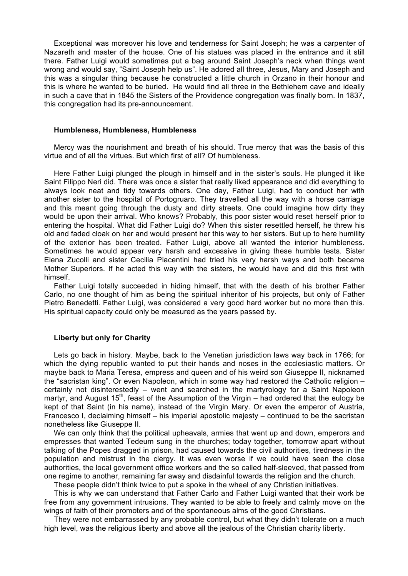Exceptional was moreover his love and tenderness for Saint Joseph; he was a carpenter of Nazareth and master of the house. One of his statues was placed in the entrance and it still there. Father Luigi would sometimes put a bag around Saint Joseph's neck when things went wrong and would say, "Saint Joseph help us". He adored all three, Jesus, Mary and Joseph and this was a singular thing because he constructed a little church in Orzano in their honour and this is where he wanted to be buried. He would find all three in the Bethlehem cave and ideally in such a cave that in 1845 the Sisters of the Providence congregation was finally born. In 1837, this congregation had its pre-announcement.

#### **Humbleness, Humbleness, Humbleness**

Mercy was the nourishment and breath of his should. True mercy that was the basis of this virtue and of all the virtues. But which first of all? Of humbleness.

Here Father Luigi plunged the plough in himself and in the sister's souls. He plunged it like Saint Filippo Neri did. There was once a sister that really liked appearance and did everything to always look neat and tidy towards others. One day, Father Luigi, had to conduct her with another sister to the hospital of Portogruaro. They travelled all the way with a horse carriage and this meant going through the dusty and dirty streets. One could imagine how dirty they would be upon their arrival. Who knows? Probably, this poor sister would reset herself prior to entering the hospital. What did Father Luigi do? When this sister resettled herself, he threw his old and faded cloak on her and would present her this way to her sisters. But up to here humility of the exterior has been treated. Father Luigi, above all wanted the interior humbleness. Sometimes he would appear very harsh and excessive in giving these humble tests. Sister Elena Zucolli and sister Cecilia Piacentini had tried his very harsh ways and both became Mother Superiors. If he acted this way with the sisters, he would have and did this first with himself.

Father Luigi totally succeeded in hiding himself, that with the death of his brother Father Carlo, no one thought of him as being the spiritual inheritor of his projects, but only of Father Pietro Benedetti. Father Luigi, was considered a very good hard worker but no more than this. His spiritual capacity could only be measured as the years passed by.

## **Liberty but only for Charity**

Lets go back in history. Maybe, back to the Venetian jurisdiction laws way back in 1766; for which the dying republic wanted to put their hands and noses in the ecclesiastic matters. Or maybe back to Maria Teresa, empress and queen and of his weird son Giuseppe II, nicknamed the "sacristan king". Or even Napoleon, which in some way had restored the Catholic religion – certainly not disinterestedly – went and searched in the martyrology for a Saint Napoleon martyr, and August  $15<sup>th</sup>$ , feast of the Assumption of the Virgin – had ordered that the eulogy be kept of that Saint (in his name), instead of the Virgin Mary. Or even the emperor of Austria, Francesco I, declaiming himself – his imperial apostolic majesty – continued to be the sacristan nonetheless like Giuseppe II.

We can only think that the political upheavals, armies that went up and down, emperors and empresses that wanted Tedeum sung in the churches; today together, tomorrow apart without talking of the Popes dragged in prison, had caused towards the civil authorities, tiredness in the population and mistrust in the clergy. It was even worse if we could have seen the close authorities, the local government office workers and the so called half-sleeved, that passed from one regime to another, remaining far away and disdainful towards the religion and the church.

These people didn't think twice to put a spoke in the wheel of any Christian initiatives.

This is why we can understand that Father Carlo and Father Luigi wanted that their work be free from any government intrusions. They wanted to be able to freely and calmly move on the wings of faith of their promoters and of the spontaneous alms of the good Christians.

They were not embarrassed by any probable control, but what they didn't tolerate on a much high level, was the religious liberty and above all the jealous of the Christian charity liberty.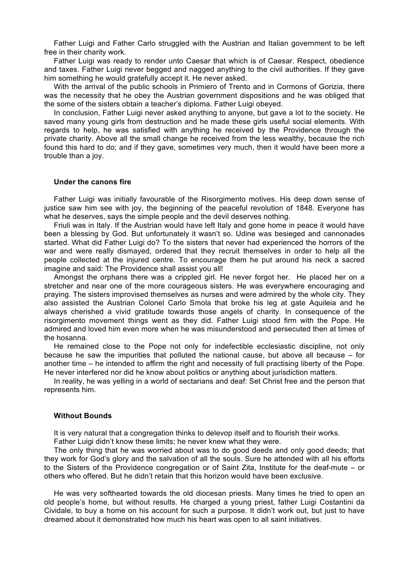Father Luigi and Father Carlo struggled with the Austrian and Italian government to be left free in their charity work.

Father Luigi was ready to render unto Caesar that which is of Caesar. Respect, obedience and taxes. Father Luigi never begged and nagged anything to the civil authorities. If they gave him something he would gratefully accept it. He never asked.

With the arrival of the public schools in Primiero of Trento and in Cormons of Gorizia, there was the necessity that he obey the Austrian government dispositions and he was obliged that the some of the sisters obtain a teacher's diploma. Father Luigi obeyed.

In conclusion, Father Luigi never asked anything to anyone, but gave a lot to the society. He saved many young girls from destruction and he made these girls useful social elements. With regards to help, he was satisfied with anything he received by the Providence through the private charity. Above all the small change he received from the less wealthy, because the rich found this hard to do; and if they gave, sometimes very much, then it would have been more a trouble than a joy.

#### **Under the canons fire**

Father Luigi was initially favourable of the Risorgimento motives. His deep down sense of justice saw him see with joy, the beginning of the peaceful revolution of 1848. Everyone has what he deserves, says the simple people and the devil deserves nothing.

Friuli was in Italy. If the Austrian would have left Italy and gone home in peace it would have been a blessing by God. But unfortunately it wasn't so. Udine was besieged and cannonades started. What did Father Luigi do? To the sisters that never had experienced the horrors of the war and were really dismayed, ordered that they recruit themselves in order to help all the people collected at the injured centre. To encourage them he put around his neck a sacred imagine and said: The Providence shall assist you all!

Amongst the orphans there was a crippled girl. He never forgot her. He placed her on a stretcher and near one of the more courageous sisters. He was everywhere encouraging and praying. The sisters improvised themselves as nurses and were admired by the whole city. They also assisted the Austrian Colonel Carlo Smola that broke his leg at gate Aquileia and he always cherished a vivid gratitude towards those angels of charity. In consequence of the risorgimento movement things went as they did. Father Luigi stood firm with the Pope. He admired and loved him even more when he was misunderstood and persecuted then at times of the hosanna.

He remained close to the Pope not only for indefectible ecclesiastic discipline, not only because he saw the impurities that polluted the national cause, but above all because – for another time – he intended to affirm the right and necessity of full practising liberty of the Pope. He never interfered nor did he know about politics or anything about jurisdiction matters.

In reality, he was yelling in a world of sectarians and deaf: Set Christ free and the person that represents him.

# **Without Bounds**

It is very natural that a congregation thinks to delevop itself and to flourish their works.

Father Luigi didn't know these limits; he never knew what they were.

The only thing that he was worried about was to do good deeds and only good deeds; that they work for God's glory and the salvation of all the souls. Sure he attended with all his efforts to the Sisters of the Providence congregation or of Saint Zita, Institute for the deaf-mute – or others who offered. But he didn't retain that this horizon would have been exclusive.

He was very softhearted towards the old diocesan priests. Many times he tried to open an old people's home, but without results. He charged a young priest, father Luigi Costantini da Cividale, to buy a home on his account for such a purpose. It didn't work out, but just to have dreamed about it demonstrated how much his heart was open to all saint initiatives.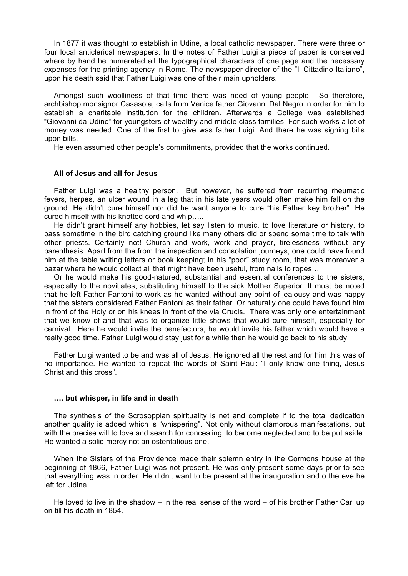In 1877 it was thought to establish in Udine, a local catholic newspaper. There were three or four local anticlerical newspapers. In the notes of Father Luigi a piece of paper is conserved where by hand he numerated all the typographical characters of one page and the necessary expenses for the printing agency in Rome. The newspaper director of the "Il Cittadino Italiano", upon his death said that Father Luigi was one of their main upholders.

Amongst such woolliness of that time there was need of young people. So therefore, archbishop monsignor Casasola, calls from Venice father Giovanni Dal Negro in order for him to establish a charitable institution for the children. Afterwards a College was established "Giovanni da Udine" for youngsters of wealthy and middle class families. For such works a lot of money was needed. One of the first to give was father Luigi. And there he was signing bills upon bills.

He even assumed other people's commitments, provided that the works continued.

# **All of Jesus and all for Jesus**

Father Luigi was a healthy person. But however, he suffered from recurring rheumatic fevers, herpes, an ulcer wound in a leg that in his late years would often make him fall on the ground. He didn't cure himself nor did he want anyone to cure "his Father key brother". He cured himself with his knotted cord and whip…..

He didn't grant himself any hobbies, let say listen to music, to love literature or history, to pass sometime in the bird catching ground like many others did or spend some time to talk with other priests. Certainly not! Church and work, work and prayer, tirelessness without any parenthesis. Apart from the from the inspection and consolation journeys, one could have found him at the table writing letters or book keeping; in his "poor" study room, that was moreover a bazar where he would collect all that might have been useful, from nails to ropes…

Or he would make his good-natured, substantial and essential conferences to the sisters, especially to the novitiates, substituting himself to the sick Mother Superior. It must be noted that he left Father Fantoni to work as he wanted without any point of jealousy and was happy that the sisters considered Father Fantoni as their father. Or naturally one could have found him in front of the Holy or on his knees in front of the via Crucis. There was only one entertainment that we know of and that was to organize little shows that would cure himself, especially for carnival. Here he would invite the benefactors; he would invite his father which would have a really good time. Father Luigi would stay just for a while then he would go back to his study.

Father Luigi wanted to be and was all of Jesus. He ignored all the rest and for him this was of no importance. He wanted to repeat the words of Saint Paul: "I only know one thing, Jesus Christ and this cross".

#### **…. but whisper, in life and in death**

The synthesis of the Scrosoppian spirituality is net and complete if to the total dedication another quality is added which is "whispering". Not only without clamorous manifestations, but with the precise will to love and search for concealing, to become neglected and to be put aside. He wanted a solid mercy not an ostentatious one.

When the Sisters of the Providence made their solemn entry in the Cormons house at the beginning of 1866, Father Luigi was not present. He was only present some days prior to see that everything was in order. He didn't want to be present at the inauguration and o the eve he left for Udine.

He loved to live in the shadow – in the real sense of the word – of his brother Father Carl up on till his death in 1854.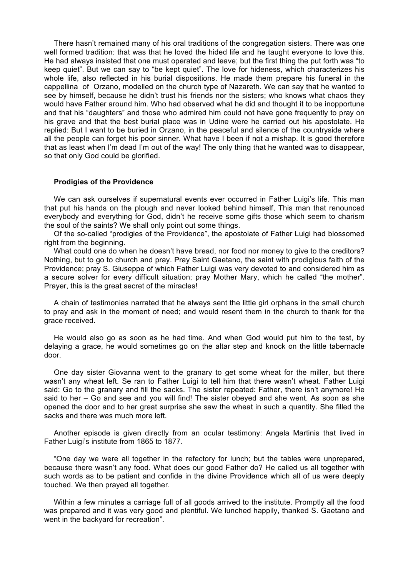There hasn't remained many of his oral traditions of the congregation sisters. There was one well formed tradition: that was that he loved the hided life and he taught everyone to love this. He had always insisted that one must operated and leave; but the first thing the put forth was "to keep quiet". But we can say to "be kept quiet". The love for hideness, which characterizes his whole life, also reflected in his burial dispositions. He made them prepare his funeral in the cappellina of Orzano, modelled on the church type of Nazareth. We can say that he wanted to see by himself, because he didn't trust his friends nor the sisters; who knows what chaos they would have Father around him. Who had observed what he did and thought it to be inopportune and that his "daughters" and those who admired him could not have gone frequently to pray on his grave and that the best burial place was in Udine were he carried out his apostolate. He replied: But I want to be buried in Orzano, in the peaceful and silence of the countryside where all the people can forget his poor sinner. What have I been if not a mishap. It is good therefore that as least when I'm dead I'm out of the way! The only thing that he wanted was to disappear, so that only God could be glorified.

## **Prodigies of the Providence**

We can ask ourselves if supernatural events ever occurred in Father Luigi's life. This man that put his hands on the plough and never looked behind himself, This man that renounced everybody and everything for God, didn't he receive some gifts those which seem to charism the soul of the saints? We shall only point out some things.

Of the so-called "prodigies of the Providence", the apostolate of Father Luigi had blossomed right from the beginning.

What could one do when he doesn't have bread, nor food nor money to give to the creditors? Nothing, but to go to church and pray. Pray Saint Gaetano, the saint with prodigious faith of the Providence; pray S. Giuseppe of which Father Luigi was very devoted to and considered him as a secure solver for every difficult situation; pray Mother Mary, which he called "the mother". Prayer, this is the great secret of the miracles!

A chain of testimonies narrated that he always sent the little girl orphans in the small church to pray and ask in the moment of need; and would resent them in the church to thank for the grace received.

He would also go as soon as he had time. And when God would put him to the test, by delaying a grace, he would sometimes go on the altar step and knock on the little tabernacle door.

One day sister Giovanna went to the granary to get some wheat for the miller, but there wasn't any wheat left. Se ran to Father Luigi to tell him that there wasn't wheat. Father Luigi said: Go to the granary and fill the sacks. The sister repeated: Father, there isn't anymore! He said to her – Go and see and you will find! The sister obeyed and she went. As soon as she opened the door and to her great surprise she saw the wheat in such a quantity. She filled the sacks and there was much more left.

Another episode is given directly from an ocular testimony: Angela Martinis that lived in Father Luigi's institute from 1865 to 1877.

"One day we were all together in the refectory for lunch; but the tables were unprepared, because there wasn't any food. What does our good Father do? He called us all together with such words as to be patient and confide in the divine Providence which all of us were deeply touched. We then prayed all together.

Within a few minutes a carriage full of all goods arrived to the institute. Promptly all the food was prepared and it was very good and plentiful. We lunched happily, thanked S. Gaetano and went in the backyard for recreation".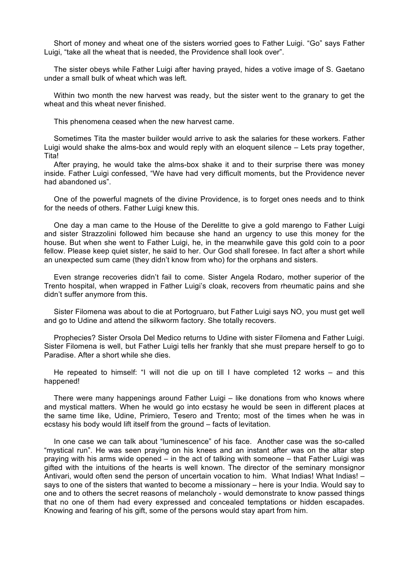Short of money and wheat one of the sisters worried goes to Father Luigi. "Go" says Father Luigi, "take all the wheat that is needed, the Providence shall look over".

The sister obeys while Father Luigi after having prayed, hides a votive image of S. Gaetano under a small bulk of wheat which was left.

Within two month the new harvest was ready, but the sister went to the granary to get the wheat and this wheat never finished.

This phenomena ceased when the new harvest came.

Sometimes Tita the master builder would arrive to ask the salaries for these workers. Father Luigi would shake the alms-box and would reply with an eloquent silence – Lets pray together, **Tital** 

After praying, he would take the alms-box shake it and to their surprise there was money inside. Father Luigi confessed, "We have had very difficult moments, but the Providence never had abandoned us".

One of the powerful magnets of the divine Providence, is to forget ones needs and to think for the needs of others. Father Luigi knew this.

One day a man came to the House of the Derelitte to give a gold marengo to Father Luigi and sister Strazzolini followed him because she hand an urgency to use this money for the house. But when she went to Father Luigi, he, in the meanwhile gave this gold coin to a poor fellow. Please keep quiet sister, he said to her. Our God shall foresee. In fact after a short while an unexpected sum came (they didn't know from who) for the orphans and sisters.

Even strange recoveries didn't fail to come. Sister Angela Rodaro, mother superior of the Trento hospital, when wrapped in Father Luigi's cloak, recovers from rheumatic pains and she didn't suffer anymore from this.

Sister Filomena was about to die at Portogruaro, but Father Luigi says NO, you must get well and go to Udine and attend the silkworm factory. She totally recovers.

Prophecies? Sister Orsola Del Medico returns to Udine with sister Filomena and Father Luigi. Sister Filomena is well, but Father Luigi tells her frankly that she must prepare herself to go to Paradise. After a short while she dies.

He repeated to himself: "I will not die up on till I have completed 12 works – and this happened!

There were many happenings around Father Luigi – like donations from who knows where and mystical matters. When he would go into ecstasy he would be seen in different places at the same time like, Udine, Primiero, Tesero and Trento; most of the times when he was in ecstasy his body would lift itself from the ground – facts of levitation.

In one case we can talk about "luminescence" of his face. Another case was the so-called "mystical run". He was seen praying on his knees and an instant after was on the altar step praying with his arms wide opened – in the act of talking with someone – that Father Luigi was gifted with the intuitions of the hearts is well known. The director of the seminary monsignor Antivari, would often send the person of uncertain vocation to him. What Indias! What Indias! – says to one of the sisters that wanted to become a missionary – here is your India. Would say to one and to others the secret reasons of melancholy - would demonstrate to know passed things that no one of them had every expressed and concealed temptations or hidden escapades. Knowing and fearing of his gift, some of the persons would stay apart from him.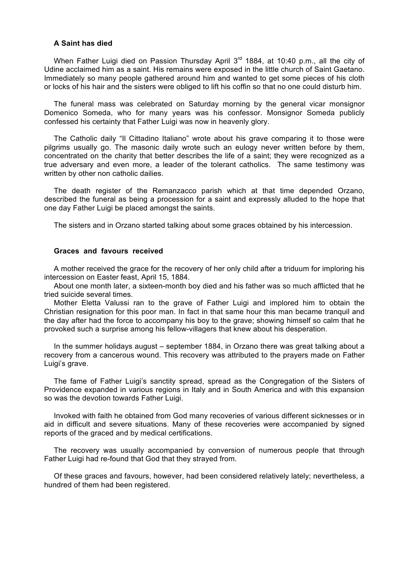# **A Saint has died**

When Father Luigi died on Passion Thursday April 3<sup>rd</sup> 1884, at 10:40 p.m., all the city of Udine acclaimed him as a saint. His remains were exposed in the little church of Saint Gaetano. Immediately so many people gathered around him and wanted to get some pieces of his cloth or locks of his hair and the sisters were obliged to lift his coffin so that no one could disturb him.

The funeral mass was celebrated on Saturday morning by the general vicar monsignor Domenico Someda, who for many years was his confessor. Monsignor Someda publicly confessed his certainty that Father Luigi was now in heavenly glory.

The Catholic daily "Il Cittadino Italiano" wrote about his grave comparing it to those were pilgrims usually go. The masonic daily wrote such an eulogy never written before by them, concentrated on the charity that better describes the life of a saint; they were recognized as a true adversary and even more, a leader of the tolerant catholics. The same testimony was written by other non catholic dailies.

The death register of the Remanzacco parish which at that time depended Orzano, described the funeral as being a procession for a saint and expressly alluded to the hope that one day Father Luigi be placed amongst the saints.

The sisters and in Orzano started talking about some graces obtained by his intercession.

# **Graces and favours received**

A mother received the grace for the recovery of her only child after a triduum for imploring his intercession on Easter feast, April 15, 1884.

About one month later, a sixteen-month boy died and his father was so much afflicted that he tried suicide several times.

Mother Eletta Valussi ran to the grave of Father Luigi and implored him to obtain the Christian resignation for this poor man. In fact in that same hour this man became tranquil and the day after had the force to accompany his boy to the grave; showing himself so calm that he provoked such a surprise among his fellow-villagers that knew about his desperation.

In the summer holidays august – september 1884, in Orzano there was great talking about a recovery from a cancerous wound. This recovery was attributed to the prayers made on Father Luigi's grave.

The fame of Father Luigi's sanctity spread, spread as the Congregation of the Sisters of Providence expanded in various regions in Italy and in South America and with this expansion so was the devotion towards Father Luigi.

Invoked with faith he obtained from God many recoveries of various different sicknesses or in aid in difficult and severe situations. Many of these recoveries were accompanied by signed reports of the graced and by medical certifications.

The recovery was usually accompanied by conversion of numerous people that through Father Luigi had re-found that God that they strayed from.

Of these graces and favours, however, had been considered relatively lately; nevertheless, a hundred of them had been registered.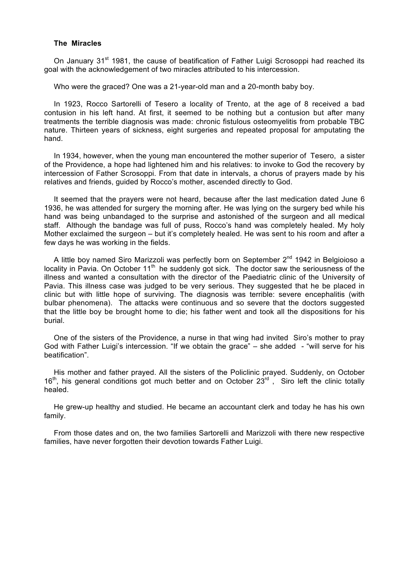## **The Miracles**

On January 31<sup>st</sup> 1981, the cause of beatification of Father Luigi Scrosoppi had reached its goal with the acknowledgement of two miracles attributed to his intercession.

Who were the graced? One was a 21-year-old man and a 20-month baby boy.

In 1923, Rocco Sartorelli of Tesero a locality of Trento, at the age of 8 received a bad contusion in his left hand. At first, it seemed to be nothing but a contusion but after many treatments the terrible diagnosis was made: chronic fistulous osteomyelitis from probable TBC nature. Thirteen years of sickness, eight surgeries and repeated proposal for amputating the hand.

In 1934, however, when the young man encountered the mother superior of Tesero, a sister of the Providence, a hope had lightened him and his relatives: to invoke to God the recovery by intercession of Father Scrosoppi. From that date in intervals, a chorus of prayers made by his relatives and friends, guided by Rocco's mother, ascended directly to God.

It seemed that the prayers were not heard, because after the last medication dated June 6 1936, he was attended for surgery the morning after. He was lying on the surgery bed while his hand was being unbandaged to the surprise and astonished of the surgeon and all medical staff. Although the bandage was full of puss, Rocco's hand was completely healed. My holy Mother exclaimed the surgeon – but it's completely healed. He was sent to his room and after a few days he was working in the fields.

A little boy named Siro Marizzoli was perfectly born on September 2<sup>nd</sup> 1942 in Belgioioso a locality in Pavia. On October 11<sup>th</sup> he suddenly got sick. The doctor saw the seriousness of the illness and wanted a consultation with the director of the Paediatric clinic of the University of Pavia. This illness case was judged to be very serious. They suggested that he be placed in clinic but with little hope of surviving. The diagnosis was terrible: severe encephalitis (with bulbar phenomena). The attacks were continuous and so severe that the doctors suggested that the little boy be brought home to die; his father went and took all the dispositions for his burial.

One of the sisters of the Providence, a nurse in that wing had invited Siro's mother to pray God with Father Luigi's intercession. "If we obtain the grace" – she added - "will serve for his beatification".

His mother and father prayed. All the sisters of the Policlinic prayed. Suddenly, on October  $16<sup>th</sup>$ , his general conditions got much better and on October 23<sup>rd</sup>, Siro left the clinic totally healed.

He grew-up healthy and studied. He became an accountant clerk and today he has his own family.

From those dates and on, the two families Sartorelli and Marizzoli with there new respective families, have never forgotten their devotion towards Father Luigi.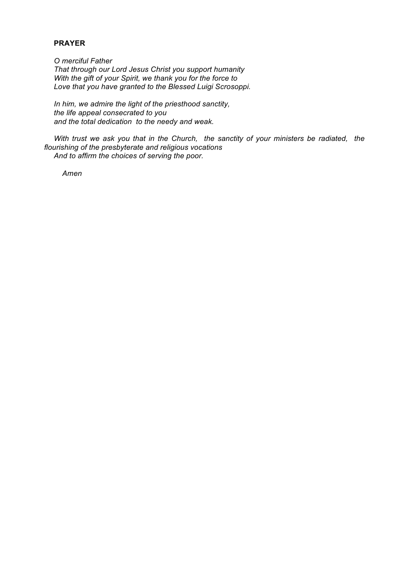# **PRAYER**

*O merciful Father That through our Lord Jesus Christ you support humanity With the gift of your Spirit, we thank you for the force to Love that you have granted to the Blessed Luigi Scrosoppi.*

*In him, we admire the light of the priesthood sanctity, the life appeal consecrated to you and the total dedication to the needy and weak.*

*With trust we ask you that in the Church, the sanctity of your ministers be radiated, the flourishing of the presbyterate and religious vocations And to affirm the choices of serving the poor.*

*Amen*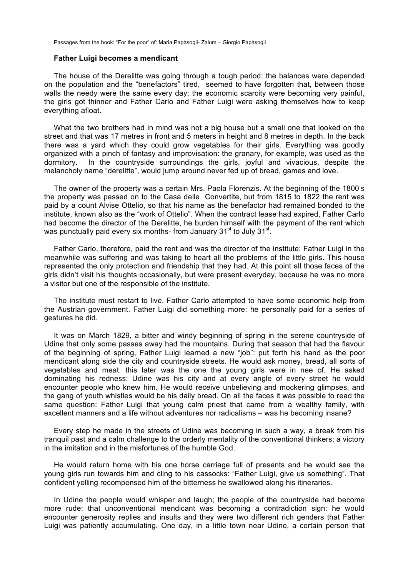#### **Father Luigi becomes a mendicant**

The house of the Derelitte was going through a tough period: the balances were depended on the population and the "benefactors" tired, seemed to have forgotten that, between those walls the needy were the same every day; the economic scarcity were becoming very painful, the girls got thinner and Father Carlo and Father Luigi were asking themselves how to keep everything afloat.

What the two brothers had in mind was not a big house but a small one that looked on the street and that was 17 metres in front and 5 meters in height and 8 metres in depth. In the back there was a yard which they could grow vegetables for their girls. Everything was goodly organized with a pinch of fantasy and improvisation: the granary, for example, was used as the dormitory. In the countryside surroundings the girls, joyful and vivacious, despite the melancholy name "derelitte", would jump around never fed up of bread, games and love.

The owner of the property was a certain Mrs. Paola Florenzis. At the beginning of the 1800's the property was passed on to the Casa delle Convertite, but from 1815 to 1822 the rent was paid by a count Alvise Ottelio, so that his name as the benefactor had remained bonded to the institute, known also as the "work of Ottelio". When the contract lease had expired, Father Carlo had become the director of the Derelitte, he burden himself with the payment of the rent which was punctually paid every six months- from January  $31<sup>st</sup>$  to July  $31<sup>st</sup>$ .

Father Carlo, therefore, paid the rent and was the director of the institute: Father Luigi in the meanwhile was suffering and was taking to heart all the problems of the little girls. This house represented the only protection and friendship that they had. At this point all those faces of the girls didn't visit his thoughts occasionally, but were present everyday, because he was no more a visitor but one of the responsible of the institute.

The institute must restart to live. Father Carlo attempted to have some economic help from the Austrian government. Father Luigi did something more: he personally paid for a series of gestures he did.

It was on March 1829, a bitter and windy beginning of spring in the serene countryside of Udine that only some passes away had the mountains. During that season that had the flavour of the beginning of spring, Father Luigi learned a new "job": put forth his hand as the poor mendicant along side the city and countryside streets. He would ask money, bread, all sorts of vegetables and meat: this later was the one the young girls were in nee of. He asked dominating his redness: Udine was his city and at every angle of every street he would encounter people who knew him. He would receive unbelieving and mockering glimpses, and the gang of youth whistles would be his daily bread. On all the faces it was possible to read the same question: Father Luigi that young calm priest that came from a wealthy family, with excellent manners and a life without adventures nor radicalisms – was he becoming insane?

Every step he made in the streets of Udine was becoming in such a way, a break from his tranquil past and a calm challenge to the orderly mentality of the conventional thinkers; a victory in the imitation and in the misfortunes of the humble God.

He would return home with his one horse carriage full of presents and he would see the young girls run towards him and cling to his cassocks: "Father Luigi, give us something". That confident yelling recompensed him of the bitterness he swallowed along his itineraries.

In Udine the people would whisper and laugh; the people of the countryside had become more rude: that unconventional mendicant was becoming a contradiction sign: he would encounter generosity replies and insults and they were two different rich genders that Father Luigi was patiently accumulating. One day, in a little town near Udine, a certain person that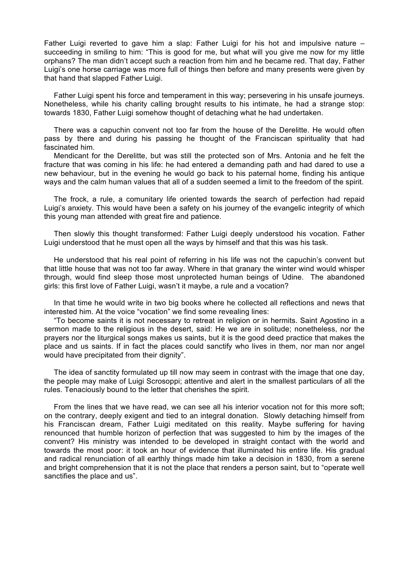Father Luigi reverted to gave him a slap: Father Luigi for his hot and impulsive nature – succeeding in smiling to him: "This is good for me, but what will you give me now for my little orphans? The man didn't accept such a reaction from him and he became red. That day, Father Luigi's one horse carriage was more full of things then before and many presents were given by that hand that slapped Father Luigi.

Father Luigi spent his force and temperament in this way; persevering in his unsafe journeys. Nonetheless, while his charity calling brought results to his intimate, he had a strange stop: towards 1830, Father Luigi somehow thought of detaching what he had undertaken.

There was a capuchin convent not too far from the house of the Derelitte. He would often pass by there and during his passing he thought of the Franciscan spirituality that had fascinated him.

Mendicant for the Derelitte, but was still the protected son of Mrs. Antonia and he felt the fracture that was coming in his life: he had entered a demanding path and had dared to use a new behaviour, but in the evening he would go back to his paternal home, finding his antique ways and the calm human values that all of a sudden seemed a limit to the freedom of the spirit.

The frock, a rule, a comunitary life oriented towards the search of perfection had repaid Luigi's anxiety. This would have been a safety on his journey of the evangelic integrity of which this young man attended with great fire and patience.

Then slowly this thought transformed: Father Luigi deeply understood his vocation. Father Luigi understood that he must open all the ways by himself and that this was his task.

He understood that his real point of referring in his life was not the capuchin's convent but that little house that was not too far away. Where in that granary the winter wind would whisper through, would find sleep those most unprotected human beings of Udine. The abandoned girls: this first love of Father Luigi, wasn't it maybe, a rule and a vocation?

In that time he would write in two big books where he collected all reflections and news that interested him. At the voice "vocation" we find some revealing lines:

"To become saints it is not necessary to retreat in religion or in hermits. Saint Agostino in a sermon made to the religious in the desert, said: He we are in solitude; nonetheless, nor the prayers nor the liturgical songs makes us saints, but it is the good deed practice that makes the place and us saints. If in fact the places could sanctify who lives in them, nor man nor angel would have precipitated from their dignity".

The idea of sanctity formulated up till now may seem in contrast with the image that one day, the people may make of Luigi Scrosoppi; attentive and alert in the smallest particulars of all the rules. Tenaciously bound to the letter that cherishes the spirit.

From the lines that we have read, we can see all his interior vocation not for this more soft; on the contrary, deeply exigent and tied to an integral donation. Slowly detaching himself from his Franciscan dream, Father Luigi meditated on this reality. Maybe suffering for having renounced that humble horizon of perfection that was suggested to him by the images of the convent? His ministry was intended to be developed in straight contact with the world and towards the most poor: it took an hour of evidence that illuminated his entire life. His gradual and radical renunciation of all earthly things made him take a decision in 1830, from a serene and bright comprehension that it is not the place that renders a person saint, but to "operate well sanctifies the place and us".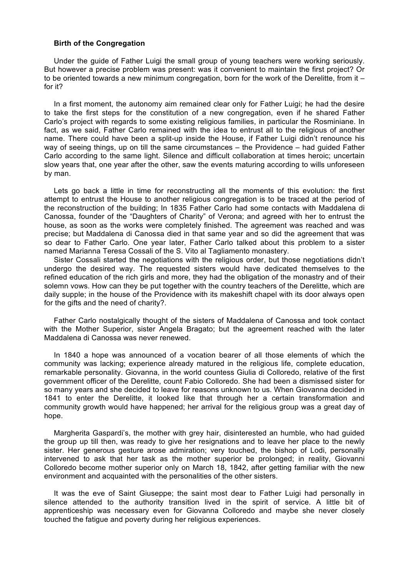## **Birth of the Congregation**

Under the guide of Father Luigi the small group of young teachers were working seriously. But however a precise problem was present: was it convenient to maintain the first project? Or to be oriented towards a new minimum congregation, born for the work of the Derelitte, from it – for it?

In a first moment, the autonomy aim remained clear only for Father Luigi; he had the desire to take the first steps for the constitution of a new congregation, even if he shared Father Carlo's project with regards to some existing religious families, in particular the Rosminiane. In fact, as we said, Father Carlo remained with the idea to entrust all to the religious of another name. There could have been a split-up inside the House, if Father Luigi didn't renounce his way of seeing things, up on till the same circumstances – the Providence – had guided Father Carlo according to the same light. Silence and difficult collaboration at times heroic; uncertain slow years that, one year after the other, saw the events maturing according to wills unforeseen by man.

Lets go back a little in time for reconstructing all the moments of this evolution: the first attempt to entrust the House to another religious congregation is to be traced at the period of the reconstruction of the building; In 1835 Father Carlo had some contacts with Maddalena di Canossa, founder of the "Daughters of Charity" of Verona; and agreed with her to entrust the house, as soon as the works were completely finished. The agreement was reached and was precise; but Maddalena di Canossa died in that same year and so did the agreement that was so dear to Father Carlo. One year later, Father Carlo talked about this problem to a sister named Marianna Teresa Cossali of the S. Vito al Tagliamento monastery.

Sister Cossali started the negotiations with the religious order, but those negotiations didn't undergo the desired way. The requested sisters would have dedicated themselves to the refined education of the rich girls and more, they had the obligation of the monastry and of their solemn vows. How can they be put together with the country teachers of the Derelitte, which are daily supple; in the house of the Providence with its makeshift chapel with its door always open for the gifts and the need of charity?.

Father Carlo nostalgically thought of the sisters of Maddalena of Canossa and took contact with the Mother Superior, sister Angela Bragato; but the agreement reached with the later Maddalena di Canossa was never renewed.

In 1840 a hope was announced of a vocation bearer of all those elements of which the community was lacking; experience already matured in the religious life, complete education, remarkable personality. Giovanna, in the world countess Giulia di Colloredo, relative of the first government officer of the Derelitte, count Fabio Colloredo. She had been a dismissed sister for so many years and she decided to leave for reasons unknown to us. When Giovanna decided in 1841 to enter the Derelitte, it looked like that through her a certain transformation and community growth would have happened; her arrival for the religious group was a great day of hope.

Margherita Gaspardi's, the mother with grey hair, disinterested an humble, who had guided the group up till then, was ready to give her resignations and to leave her place to the newly sister. Her generous gesture arose admiration; very touched, the bishop of Lodi, personally intervened to ask that her task as the mother superior be prolonged; in reality, Giovanni Colloredo become mother superior only on March 18, 1842, after getting familiar with the new environment and acquainted with the personalities of the other sisters.

It was the eve of Saint Giuseppe; the saint most dear to Father Luigi had personally in silence attended to the authority transition lived in the spirit of service. A little bit of apprenticeship was necessary even for Giovanna Colloredo and maybe she never closely touched the fatigue and poverty during her religious experiences.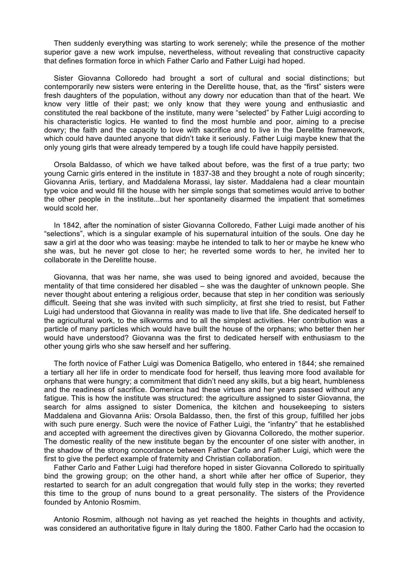Then suddenly everything was starting to work serenely; while the presence of the mother superior gave a new work impulse, nevertheless, without revealing that constructive capacity that defines formation force in which Father Carlo and Father Luigi had hoped.

Sister Giovanna Colloredo had brought a sort of cultural and social distinctions; but contemporarily new sisters were entering in the Derelitte house, that, as the "first" sisters were fresh daughters of the population, without any dowry nor education than that of the heart. We know very little of their past; we only know that they were young and enthusiastic and constituted the real backbone of the institute, many were "selected" by Father Luigi according to his characteristic logics. He wanted to find the most humble and poor, aiming to a precise dowry; the faith and the capacity to love with sacrifice and to live in the Derelitte framework, which could have daunted anyone that didn't take it seriously. Father Luigi maybe knew that the only young girls that were already tempered by a tough life could have happily persisted.

Orsola Baldasso, of which we have talked about before, was the first of a true party; two young Carnic girls entered in the institute in 1837-38 and they brought a note of rough sincerity; Giovanna Ariis, tertiary, and Maddalena Morassi, lay sister. Maddalena had a clear mountain type voice and would fill the house with her simple songs that sometimes would arrive to bother the other people in the institute...but her spontaneity disarmed the impatient that sometimes would scold her.

In 1842, after the nomination of sister Giovanna Colloredo, Father Luigi made another of his "selections", which is a singular example of his supernatural intuition of the souls. One day he saw a girl at the door who was teasing: maybe he intended to talk to her or maybe he knew who she was, but he never got close to her; he reverted some words to her, he invited her to collaborate in the Derelitte house.

Giovanna, that was her name, she was used to being ignored and avoided, because the mentality of that time considered her disabled – she was the daughter of unknown people. She never thought about entering a religious order, because that step in her condition was seriously difficult. Seeing that she was invited with such simplicity, at first she tried to resist, but Father Luigi had understood that Giovanna in reality was made to live that life. She dedicated herself to the agricultural work, to the silkworms and to all the simplest activities. Her contribution was a particle of many particles which would have built the house of the orphans; who better then her would have understood? Giovanna was the first to dedicated herself with enthusiasm to the other young girls who she saw herself and her suffering.

The forth novice of Father Luigi was Domenica Batigello, who entered in 1844; she remained a tertiary all her life in order to mendicate food for herself, thus leaving more food available for orphans that were hungry; a commitment that didn't need any skills, but a big heart, humbleness and the readiness of sacrifice. Domenica had these virtues and her years passed without any fatigue. This is how the institute was structured: the agriculture assigned to sister Giovanna, the search for alms assigned to sister Domenica, the kitchen and housekeeping to sisters Maddalena and Giovanna Ariis: Orsola Baldasso, then, the first of this group, fulfilled her jobs with such pure energy. Such were the novice of Father Luigi, the "infantry" that he established and accepted with agreement the directives given by Giovanna Colloredo, the mother superior. The domestic reality of the new institute began by the encounter of one sister with another, in the shadow of the strong concordance between Father Carlo and Father Luigi, which were the first to give the perfect example of fraternity and Christian collaboration.

Father Carlo and Father Luigi had therefore hoped in sister Giovanna Colloredo to spiritually bind the growing group; on the other hand, a short while after her office of Superior, they restarted to search for an adult congregation that would fully step in the works; they reverted this time to the group of nuns bound to a great personality. The sisters of the Providence founded by Antonio Rosmim.

Antonio Rosmim, although not having as yet reached the heights in thoughts and activity, was considered an authoritative figure in Italy during the 1800. Father Carlo had the occasion to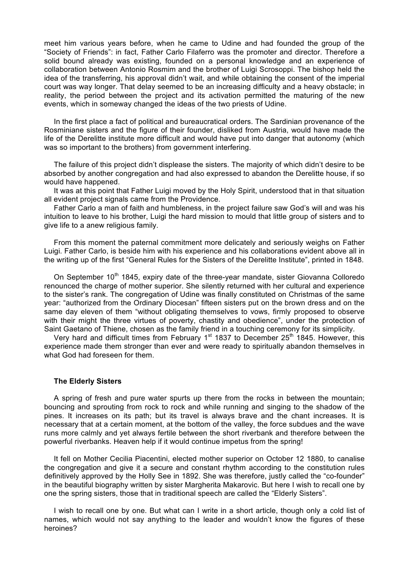meet him various years before, when he came to Udine and had founded the group of the "Society of Friends": in fact, Father Carlo Filaferro was the promoter and director. Therefore a solid bound already was existing, founded on a personal knowledge and an experience of collaboration between Antonio Rosmim and the brother of Luigi Scrosoppi. The bishop held the idea of the transferring, his approval didn't wait, and while obtaining the consent of the imperial court was way longer. That delay seemed to be an increasing difficulty and a heavy obstacle; in reality, the period between the project and its activation permitted the maturing of the new events, which in someway changed the ideas of the two priests of Udine.

In the first place a fact of political and bureaucratical orders. The Sardinian provenance of the Rosminiane sisters and the figure of their founder, disliked from Austria, would have made the life of the Derelitte institute more difficult and would have put into danger that autonomy (which was so important to the brothers) from government interfering.

The failure of this project didn't displease the sisters. The majority of which didn't desire to be absorbed by another congregation and had also expressed to abandon the Derelitte house, if so would have happened.

It was at this point that Father Luigi moved by the Holy Spirit, understood that in that situation all evident project signals came from the Providence.

Father Carlo a man of faith and humbleness, in the project failure saw God's will and was his intuition to leave to his brother, Luigi the hard mission to mould that little group of sisters and to give life to a anew religious family.

From this moment the paternal commitment more delicately and seriously weighs on Father Luigi. Father Carlo, is beside him with his experience and his collaborations evident above all in the writing up of the first "General Rules for the Sisters of the Derelitte Institute", printed in 1848.

On September 10<sup>th</sup> 1845, expiry date of the three-year mandate, sister Giovanna Colloredo renounced the charge of mother superior. She silently returned with her cultural and experience to the sister's rank. The congregation of Udine was finally constituted on Christmas of the same year: "authorized from the Ordinary Diocesan" fifteen sisters put on the brown dress and on the same day eleven of them "without obligating themselves to vows, firmly proposed to observe with their might the three virtues of poverty, chastity and obedience", under the protection of Saint Gaetano of Thiene, chosen as the family friend in a touching ceremony for its simplicity.

Very hard and difficult times from February  $1<sup>st</sup>$  1837 to December 25<sup>th</sup> 1845. However, this experience made them stronger than ever and were ready to spiritually abandon themselves in what God had foreseen for them.

## **The Elderly Sisters**

A spring of fresh and pure water spurts up there from the rocks in between the mountain; bouncing and sprouting from rock to rock and while running and singing to the shadow of the pines. It increases on its path; but its travel is always brave and the chant increases. It is necessary that at a certain moment, at the bottom of the valley, the force subdues and the wave runs more calmly and yet always fertile between the short riverbank and therefore between the powerful riverbanks. Heaven help if it would continue impetus from the spring!

It fell on Mother Cecilia Piacentini, elected mother superior on October 12 1880, to canalise the congregation and give it a secure and constant rhythm according to the constitution rules definitively approved by the Holly See in 1892. She was therefore, justly called the "co-founder" in the beautiful biography written by sister Margherita Makarovic. But here I wish to recall one by one the spring sisters, those that in traditional speech are called the "Elderly Sisters".

I wish to recall one by one. But what can I write in a short article, though only a cold list of names, which would not say anything to the leader and wouldn't know the figures of these heroines?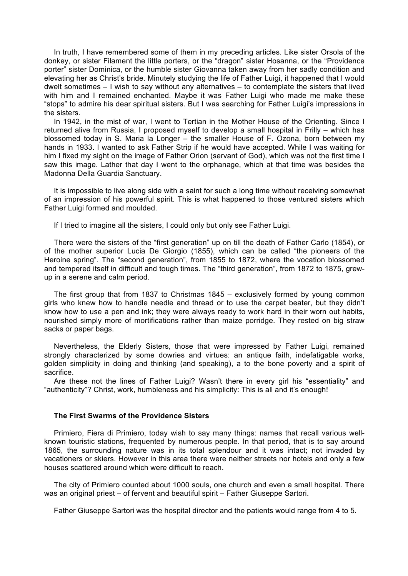In truth, I have remembered some of them in my preceding articles. Like sister Orsola of the donkey, or sister Filament the little porters, or the "dragon" sister Hosanna, or the "Providence porter" sister Dominica, or the humble sister Giovanna taken away from her sadly condition and elevating her as Christ's bride. Minutely studying the life of Father Luigi, it happened that I would dwelt sometimes – I wish to say without any alternatives – to contemplate the sisters that lived with him and I remained enchanted. Maybe it was Father Luigi who made me make these "stops" to admire his dear spiritual sisters. But I was searching for Father Luigi's impressions in the sisters.

In 1942, in the mist of war, I went to Tertian in the Mother House of the Orienting. Since I returned alive from Russia, I proposed myself to develop a small hospital in Frilly – which has blossomed today in S. Maria la Longer – the smaller House of F. Ozona, born between my hands in 1933. I wanted to ask Father Strip if he would have accepted. While I was waiting for him I fixed my sight on the image of Father Orion (servant of God), which was not the first time I saw this image. Lather that day I went to the orphanage, which at that time was besides the Madonna Della Guardia Sanctuary.

It is impossible to live along side with a saint for such a long time without receiving somewhat of an impression of his powerful spirit. This is what happened to those ventured sisters which Father Luigi formed and moulded.

If I tried to imagine all the sisters, I could only but only see Father Luigi.

There were the sisters of the "first generation" up on till the death of Father Carlo (1854), or of the mother superior Lucia De Giorgio (1855), which can be called "the pioneers of the Heroine spring". The "second generation", from 1855 to 1872, where the vocation blossomed and tempered itself in difficult and tough times. The "third generation", from 1872 to 1875, grewup in a serene and calm period.

The first group that from 1837 to Christmas 1845 – exclusively formed by young common girls who knew how to handle needle and thread or to use the carpet beater, but they didn't know how to use a pen and ink; they were always ready to work hard in their worn out habits, nourished simply more of mortifications rather than maize porridge. They rested on big straw sacks or paper bags.

Nevertheless, the Elderly Sisters, those that were impressed by Father Luigi, remained strongly characterized by some dowries and virtues: an antique faith, indefatigable works, golden simplicity in doing and thinking (and speaking), a to the bone poverty and a spirit of sacrifice.

Are these not the lines of Father Luigi? Wasn't there in every girl his "essentiality" and "authenticity"? Christ, work, humbleness and his simplicity: This is all and it's enough!

# **The First Swarms of the Providence Sisters**

Primiero, Fiera di Primiero, today wish to say many things: names that recall various wellknown touristic stations, frequented by numerous people. In that period, that is to say around 1865, the surrounding nature was in its total splendour and it was intact; not invaded by vacationers or skiers. However in this area there were neither streets nor hotels and only a few houses scattered around which were difficult to reach.

The city of Primiero counted about 1000 souls, one church and even a small hospital. There was an original priest – of fervent and beautiful spirit – Father Giuseppe Sartori.

Father Giuseppe Sartori was the hospital director and the patients would range from 4 to 5.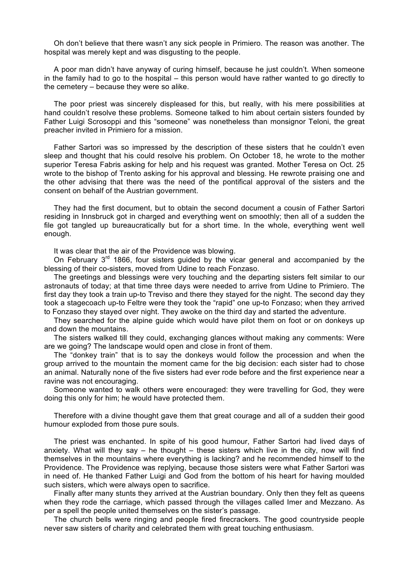Oh don't believe that there wasn't any sick people in Primiero. The reason was another. The hospital was merely kept and was disgusting to the people.

A poor man didn't have anyway of curing himself, because he just couldn't. When someone in the family had to go to the hospital – this person would have rather wanted to go directly to the cemetery – because they were so alike.

The poor priest was sincerely displeased for this, but really, with his mere possibilities at hand couldn't resolve these problems. Someone talked to him about certain sisters founded by Father Luigi Scrosoppi and this "someone" was nonetheless than monsignor Teloni, the great preacher invited in Primiero for a mission.

Father Sartori was so impressed by the description of these sisters that he couldn't even sleep and thought that his could resolve his problem. On October 18, he wrote to the mother superior Teresa Fabris asking for help and his request was granted. Mother Teresa on Oct. 25 wrote to the bishop of Trento asking for his approval and blessing. He rewrote praising one and the other advising that there was the need of the pontifical approval of the sisters and the consent on behalf of the Austrian government.

They had the first document, but to obtain the second document a cousin of Father Sartori residing in Innsbruck got in charged and everything went on smoothly; then all of a sudden the file got tangled up bureaucratically but for a short time. In the whole, everything went well enough.

It was clear that the air of the Providence was blowing.

On February  $3<sup>rd</sup>$  1866, four sisters guided by the vicar general and accompanied by the blessing of their co-sisters, moved from Udine to reach Fonzaso.

The greetings and blessings were very touching and the departing sisters felt similar to our astronauts of today; at that time three days were needed to arrive from Udine to Primiero. The first day they took a train up-to Treviso and there they stayed for the night. The second day they took a stagecoach up-to Feltre were they took the "rapid" one up-to Fonzaso; when they arrived to Fonzaso they stayed over night. They awoke on the third day and started the adventure.

They searched for the alpine guide which would have pilot them on foot or on donkeys up and down the mountains.

The sisters walked till they could, exchanging glances without making any comments: Were are we going? The landscape would open and close in front of them.

The "donkey train" that is to say the donkeys would follow the procession and when the group arrived to the mountain the moment came for the big decision: each sister had to chose an animal. Naturally none of the five sisters had ever rode before and the first experience near a ravine was not encouraging.

Someone wanted to walk others were encouraged: they were travelling for God, they were doing this only for him; he would have protected them.

Therefore with a divine thought gave them that great courage and all of a sudden their good humour exploded from those pure souls.

The priest was enchanted. In spite of his good humour, Father Sartori had lived days of anxiety. What will they say  $-$  he thought  $-$  these sisters which live in the city, now will find themselves in the mountains where everything is lacking? and he recommended himself to the Providence. The Providence was replying, because those sisters were what Father Sartori was in need of. He thanked Father Luigi and God from the bottom of his heart for having moulded such sisters, which were always open to sacrifice.

Finally after many stunts they arrived at the Austrian boundary. Only then they felt as queens when they rode the carriage, which passed through the villages called Imer and Mezzano. As per a spell the people united themselves on the sister's passage.

The church bells were ringing and people fired firecrackers. The good countryside people never saw sisters of charity and celebrated them with great touching enthusiasm.